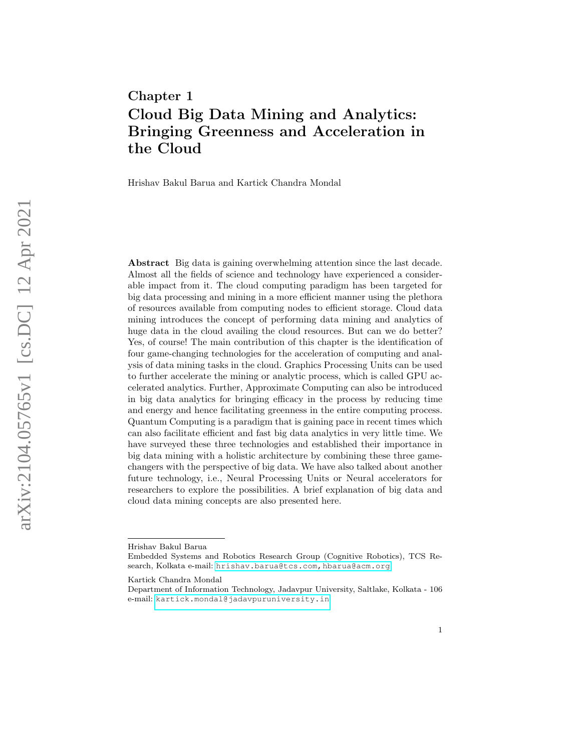# Chapter 1 Cloud Big Data Mining and Analytics: Bringing Greenness and Acceleration in the Cloud

Hrishav Bakul Barua and Kartick Chandra Mondal

Abstract Big data is gaining overwhelming attention since the last decade. Almost all the fields of science and technology have experienced a considerable impact from it. The cloud computing paradigm has been targeted for big data processing and mining in a more efficient manner using the plethora of resources available from computing nodes to efficient storage. Cloud data mining introduces the concept of performing data mining and analytics of huge data in the cloud availing the cloud resources. But can we do better? Yes, of course! The main contribution of this chapter is the identification of four game-changing technologies for the acceleration of computing and analysis of data mining tasks in the cloud. Graphics Processing Units can be used to further accelerate the mining or analytic process, which is called GPU accelerated analytics. Further, Approximate Computing can also be introduced in big data analytics for bringing efficacy in the process by reducing time and energy and hence facilitating greenness in the entire computing process. Quantum Computing is a paradigm that is gaining pace in recent times which can also facilitate efficient and fast big data analytics in very little time. We have surveyed these three technologies and established their importance in big data mining with a holistic architecture by combining these three gamechangers with the perspective of big data. We have also talked about another future technology, i.e., Neural Processing Units or Neural accelerators for researchers to explore the possibilities. A brief explanation of big data and cloud data mining concepts are also presented here.

Hrishav Bakul Barua

Embedded Systems and Robotics Research Group (Cognitive Robotics), TCS Research, Kolkata e-mail: hrishav.barua@tcs.com, hbarua@acm.org

Kartick Chandra Mondal

Department of Information Technology, Jadavpur University, Saltlake, Kolkata - 106 e-mail: <kartick.mondal@jadavpuruniversity.in>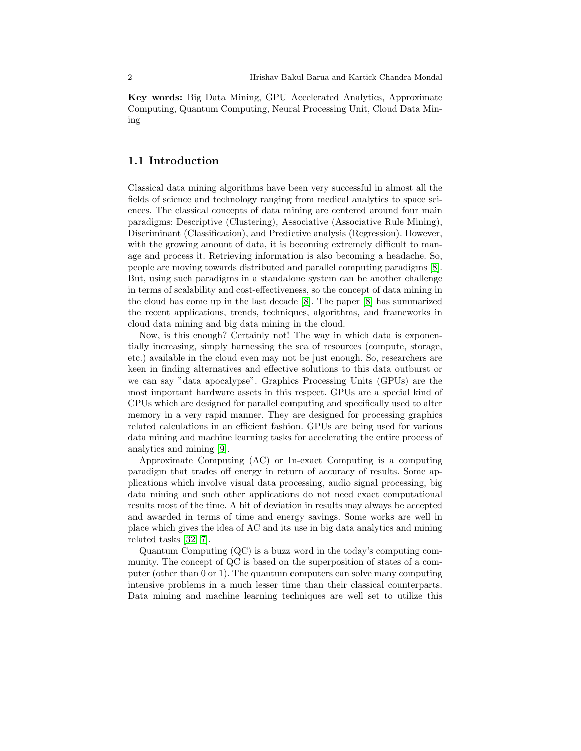Key words: Big Data Mining, GPU Accelerated Analytics, Approximate Computing, Quantum Computing, Neural Processing Unit, Cloud Data Mining

#### 1.1 Introduction

Classical data mining algorithms have been very successful in almost all the fields of science and technology ranging from medical analytics to space sciences. The classical concepts of data mining are centered around four main paradigms: Descriptive (Clustering), Associative (Associative Rule Mining), Discriminant (Classification), and Predictive analysis (Regression). However, with the growing amount of data, it is becoming extremely difficult to manage and process it. Retrieving information is also becoming a headache. So, people are moving towards distributed and parallel computing paradigms [\[8\]](#page-19-0). But, using such paradigms in a standalone system can be another challenge in terms of scalability and cost-effectiveness, so the concept of data mining in the cloud has come up in the last decade [\[8\]](#page-19-0). The paper [\[8\]](#page-19-0) has summarized the recent applications, trends, techniques, algorithms, and frameworks in cloud data mining and big data mining in the cloud.

Now, is this enough? Certainly not! The way in which data is exponentially increasing, simply harnessing the sea of resources (compute, storage, etc.) available in the cloud even may not be just enough. So, researchers are keen in finding alternatives and effective solutions to this data outburst or we can say "data apocalypse". Graphics Processing Units (GPUs) are the most important hardware assets in this respect. GPUs are a special kind of CPUs which are designed for parallel computing and specifically used to alter memory in a very rapid manner. They are designed for processing graphics related calculations in an efficient fashion. GPUs are being used for various data mining and machine learning tasks for accelerating the entire process of analytics and mining [\[9\]](#page-19-1).

Approximate Computing (AC) or In-exact Computing is a computing paradigm that trades off energy in return of accuracy of results. Some applications which involve visual data processing, audio signal processing, big data mining and such other applications do not need exact computational results most of the time. A bit of deviation in results may always be accepted and awarded in terms of time and energy savings. Some works are well in place which gives the idea of AC and its use in big data analytics and mining related tasks [\[32,](#page-20-0) [7\]](#page-19-2).

Quantum Computing (QC) is a buzz word in the today's computing community. The concept of QC is based on the superposition of states of a computer (other than 0 or 1). The quantum computers can solve many computing intensive problems in a much lesser time than their classical counterparts. Data mining and machine learning techniques are well set to utilize this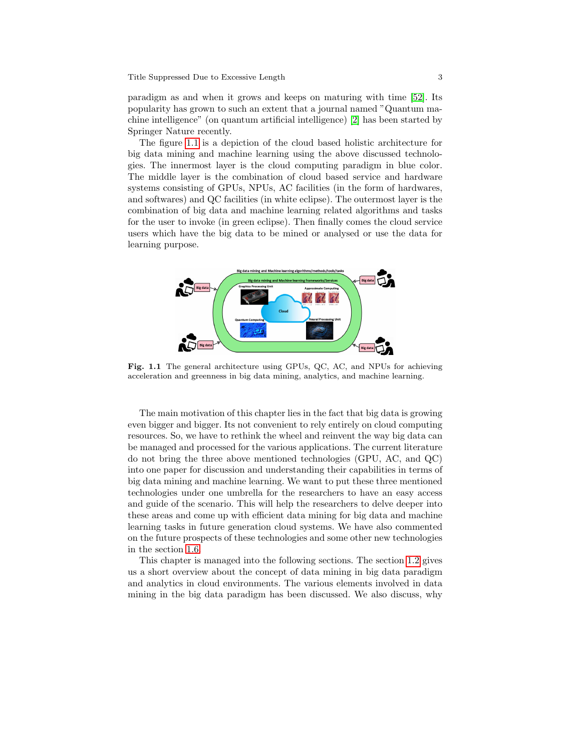paradigm as and when it grows and keeps on maturing with time [\[52\]](#page-21-0). Its popularity has grown to such an extent that a journal named "Quantum machine intelligence" (on quantum artificial intelligence) [\[2\]](#page-18-0) has been started by Springer Nature recently.

The figure [1.1](#page-2-0) is a depiction of the cloud based holistic architecture for big data mining and machine learning using the above discussed technologies. The innermost layer is the cloud computing paradigm in blue color. The middle layer is the combination of cloud based service and hardware systems consisting of GPUs, NPUs, AC facilities (in the form of hardwares, and softwares) and QC facilities (in white eclipse). The outermost layer is the combination of big data and machine learning related algorithms and tasks for the user to invoke (in green eclipse). Then finally comes the cloud service users which have the big data to be mined or analysed or use the data for learning purpose.



<span id="page-2-0"></span>Fig. 1.1 The general architecture using GPUs, QC, AC, and NPUs for achieving acceleration and greenness in big data mining, analytics, and machine learning.

The main motivation of this chapter lies in the fact that big data is growing even bigger and bigger. Its not convenient to rely entirely on cloud computing resources. So, we have to rethink the wheel and reinvent the way big data can be managed and processed for the various applications. The current literature do not bring the three above mentioned technologies (GPU, AC, and QC) into one paper for discussion and understanding their capabilities in terms of big data mining and machine learning. We want to put these three mentioned technologies under one umbrella for the researchers to have an easy access and guide of the scenario. This will help the researchers to delve deeper into these areas and come up with efficient data mining for big data and machine learning tasks in future generation cloud systems. We have also commented on the future prospects of these technologies and some other new technologies in the section [1.6.](#page-15-0)

This chapter is managed into the following sections. The section [1.2](#page-3-0) gives us a short overview about the concept of data mining in big data paradigm and analytics in cloud environments. The various elements involved in data mining in the big data paradigm has been discussed. We also discuss, why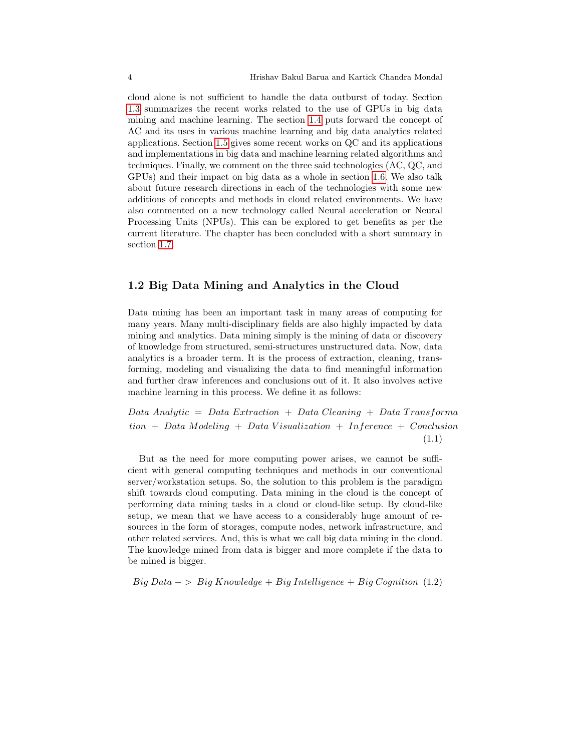cloud alone is not sufficient to handle the data outburst of today. Section [1.3](#page-5-0) summarizes the recent works related to the use of GPUs in big data mining and machine learning. The section [1.4](#page-8-0) puts forward the concept of AC and its uses in various machine learning and big data analytics related applications. Section [1.5](#page-12-0) gives some recent works on QC and its applications and implementations in big data and machine learning related algorithms and techniques. Finally, we comment on the three said technologies (AC, QC, and GPUs) and their impact on big data as a whole in section [1.6.](#page-15-0) We also talk about future research directions in each of the technologies with some new additions of concepts and methods in cloud related environments. We have also commented on a new technology called Neural acceleration or Neural Processing Units (NPUs). This can be explored to get benefits as per the current literature. The chapter has been concluded with a short summary in section [1.7.](#page-18-1)

# <span id="page-3-0"></span>1.2 Big Data Mining and Analytics in the Cloud

Data mining has been an important task in many areas of computing for many years. Many multi-disciplinary fields are also highly impacted by data mining and analytics. Data mining simply is the mining of data or discovery of knowledge from structured, semi-structures unstructured data. Now, data analytics is a broader term. It is the process of extraction, cleaning, transforming, modeling and visualizing the data to find meaningful information and further draw inferences and conclusions out of it. It also involves active machine learning in this process. We define it as follows:

 $Data Analytic = Data Extraction + Data Cleaning + Data Transforma$  $tion + Data Modeling + Data Visualization + Inference + Conclusion$ (1.1)

But as the need for more computing power arises, we cannot be sufficient with general computing techniques and methods in our conventional server/workstation setups. So, the solution to this problem is the paradigm shift towards cloud computing. Data mining in the cloud is the concept of performing data mining tasks in a cloud or cloud-like setup. By cloud-like setup, we mean that we have access to a considerably huge amount of resources in the form of storages, compute nodes, network infrastructure, and other related services. And, this is what we call big data mining in the cloud. The knowledge mined from data is bigger and more complete if the data to be mined is bigger.

 $Big Data - > Big Knowledge + Big Intelligence + Big Conference (1.2)$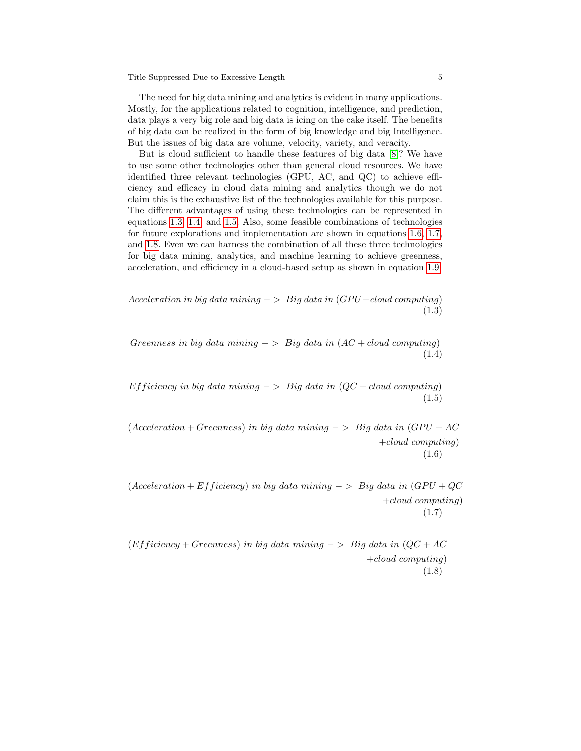Title Suppressed Due to Excessive Length 5

The need for big data mining and analytics is evident in many applications. Mostly, for the applications related to cognition, intelligence, and prediction, data plays a very big role and big data is icing on the cake itself. The benefits of big data can be realized in the form of big knowledge and big Intelligence. But the issues of big data are volume, velocity, variety, and veracity.

But is cloud sufficient to handle these features of big data [\[8\]](#page-19-0)? We have to use some other technologies other than general cloud resources. We have identified three relevant technologies (GPU, AC, and QC) to achieve efficiency and efficacy in cloud data mining and analytics though we do not claim this is the exhaustive list of the technologies available for this purpose. The different advantages of using these technologies can be represented in equations [1.3,](#page-4-0) [1.4,](#page-4-1) and [1.5.](#page-4-2) Also, some feasible combinations of technologies for future explorations and implementation are shown in equations [1.6,](#page-4-3) [1.7,](#page-4-4) and [1.8.](#page-4-5) Even we can harness the combination of all these three technologies for big data mining, analytics, and machine learning to achieve greenness, acceleration, and efficiency in a cloud-based setup as shown in equation [1.9.](#page-4-6)

<span id="page-4-1"></span><span id="page-4-0"></span>Acceleration in big data mining  $-$  > Big data in  $(GPU + cloud\ computing)$ (1.3)

<span id="page-4-2"></span>Greenness in big data mining  $-$  > Big data in  $(AC + cloud\ computing)$ (1.4)

<span id="page-4-3"></span>Efficiency in big data mining  $-$  > Big data in  $(QC + cloud\ computing)$ (1.5)

 $(Acceleration + Greenness)$  in big data mining −> Big data in  $(GPU + AC)$ +cloud computing) (1.6)

<span id="page-4-4"></span> $(Acceleration + Efficiency)$  in big data mining −> Big data in  $(GPU + QC)$ +cloud computing) (1.7)

<span id="page-4-6"></span><span id="page-4-5"></span> $(Efficiency + Greenness)$  in big data mining −> Big data in  $(QC + AC)$ +cloud computing) (1.8)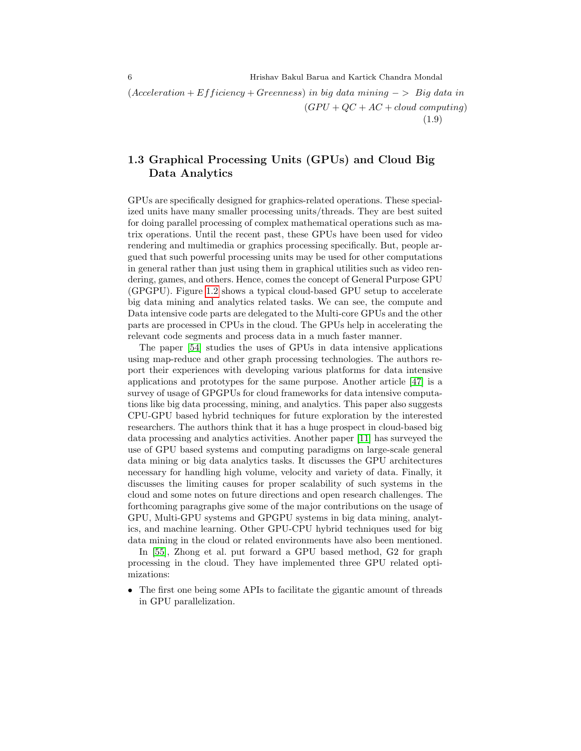$(Acceleration + Efficiency + Greenness)$  in big data mining  $-$  > Big data in  $(GPU + QC + AC + cloud\ computing)$ (1.9)

# <span id="page-5-0"></span>1.3 Graphical Processing Units (GPUs) and Cloud Big Data Analytics

GPUs are specifically designed for graphics-related operations. These specialized units have many smaller processing units/threads. They are best suited for doing parallel processing of complex mathematical operations such as matrix operations. Until the recent past, these GPUs have been used for video rendering and multimedia or graphics processing specifically. But, people argued that such powerful processing units may be used for other computations in general rather than just using them in graphical utilities such as video rendering, games, and others. Hence, comes the concept of General Purpose GPU (GPGPU). Figure [1.2](#page-6-0) shows a typical cloud-based GPU setup to accelerate big data mining and analytics related tasks. We can see, the compute and Data intensive code parts are delegated to the Multi-core GPUs and the other parts are processed in CPUs in the cloud. The GPUs help in accelerating the relevant code segments and process data in a much faster manner.

The paper [\[54\]](#page-21-1) studies the uses of GPUs in data intensive applications using map-reduce and other graph processing technologies. The authors report their experiences with developing various platforms for data intensive applications and prototypes for the same purpose. Another article [\[47\]](#page-21-2) is a survey of usage of GPGPUs for cloud frameworks for data intensive computations like big data processing, mining, and analytics. This paper also suggests CPU-GPU based hybrid techniques for future exploration by the interested researchers. The authors think that it has a huge prospect in cloud-based big data processing and analytics activities. Another paper [\[11\]](#page-19-3) has surveyed the use of GPU based systems and computing paradigms on large-scale general data mining or big data analytics tasks. It discusses the GPU architectures necessary for handling high volume, velocity and variety of data. Finally, it discusses the limiting causes for proper scalability of such systems in the cloud and some notes on future directions and open research challenges. The forthcoming paragraphs give some of the major contributions on the usage of GPU, Multi-GPU systems and GPGPU systems in big data mining, analytics, and machine learning. Other GPU-CPU hybrid techniques used for big data mining in the cloud or related environments have also been mentioned.

In [\[55\]](#page-21-3), Zhong et al. put forward a GPU based method, G2 for graph processing in the cloud. They have implemented three GPU related optimizations:

• The first one being some APIs to facilitate the gigantic amount of threads in GPU parallelization.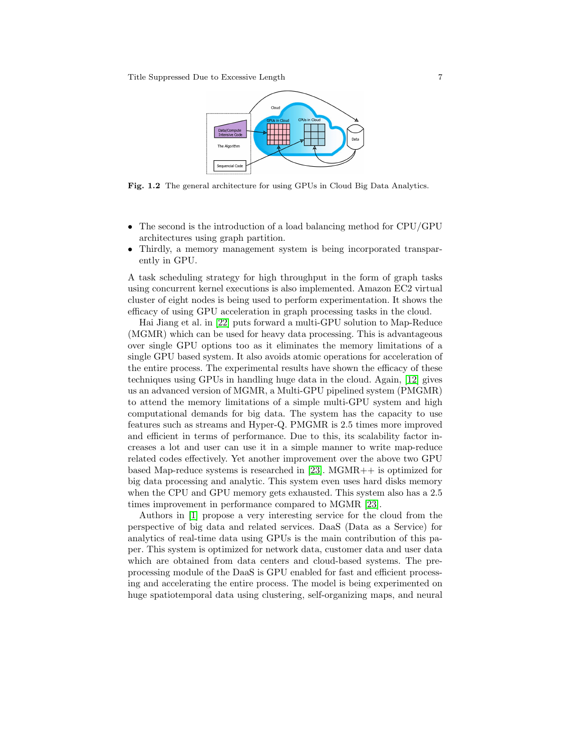

<span id="page-6-0"></span>Fig. 1.2 The general architecture for using GPUs in Cloud Big Data Analytics.

- The second is the introduction of a load balancing method for CPU/GPU architectures using graph partition.
- Thirdly, a memory management system is being incorporated transparently in GPU.

A task scheduling strategy for high throughput in the form of graph tasks using concurrent kernel executions is also implemented. Amazon EC2 virtual cluster of eight nodes is being used to perform experimentation. It shows the efficacy of using GPU acceleration in graph processing tasks in the cloud.

Hai Jiang et al. in [\[22\]](#page-20-1) puts forward a multi-GPU solution to Map-Reduce (MGMR) which can be used for heavy data processing. This is advantageous over single GPU options too as it eliminates the memory limitations of a single GPU based system. It also avoids atomic operations for acceleration of the entire process. The experimental results have shown the efficacy of these techniques using GPUs in handling huge data in the cloud. Again, [\[12\]](#page-19-4) gives us an advanced version of MGMR, a Multi-GPU pipelined system (PMGMR) to attend the memory limitations of a simple multi-GPU system and high computational demands for big data. The system has the capacity to use features such as streams and Hyper-Q. PMGMR is 2.5 times more improved and efficient in terms of performance. Due to this, its scalability factor increases a lot and user can use it in a simple manner to write map-reduce related codes effectively. Yet another improvement over the above two GPU based Map-reduce systems is researched in [\[23\]](#page-20-2). MGMR++ is optimized for big data processing and analytic. This system even uses hard disks memory when the CPU and GPU memory gets exhausted. This system also has a 2.5 times improvement in performance compared to MGMR [\[23\]](#page-20-2).

Authors in [\[1\]](#page-18-2) propose a very interesting service for the cloud from the perspective of big data and related services. DaaS (Data as a Service) for analytics of real-time data using GPUs is the main contribution of this paper. This system is optimized for network data, customer data and user data which are obtained from data centers and cloud-based systems. The preprocessing module of the DaaS is GPU enabled for fast and efficient processing and accelerating the entire process. The model is being experimented on huge spatiotemporal data using clustering, self-organizing maps, and neural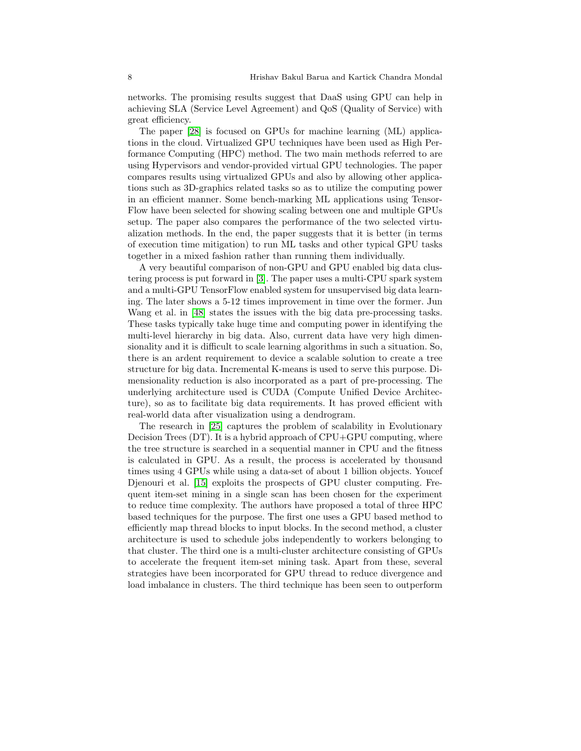networks. The promising results suggest that DaaS using GPU can help in achieving SLA (Service Level Agreement) and QoS (Quality of Service) with great efficiency.

The paper [\[28\]](#page-20-3) is focused on GPUs for machine learning (ML) applications in the cloud. Virtualized GPU techniques have been used as High Performance Computing (HPC) method. The two main methods referred to are using Hypervisors and vendor-provided virtual GPU technologies. The paper compares results using virtualized GPUs and also by allowing other applications such as 3D-graphics related tasks so as to utilize the computing power in an efficient manner. Some bench-marking ML applications using Tensor-Flow have been selected for showing scaling between one and multiple GPUs setup. The paper also compares the performance of the two selected virtualization methods. In the end, the paper suggests that it is better (in terms of execution time mitigation) to run ML tasks and other typical GPU tasks together in a mixed fashion rather than running them individually.

A very beautiful comparison of non-GPU and GPU enabled big data clustering process is put forward in [\[3\]](#page-18-3). The paper uses a multi-CPU spark system and a multi-GPU TensorFlow enabled system for unsupervised big data learning. The later shows a 5-12 times improvement in time over the former. Jun Wang et al. in [\[48\]](#page-21-4) states the issues with the big data pre-processing tasks. These tasks typically take huge time and computing power in identifying the multi-level hierarchy in big data. Also, current data have very high dimensionality and it is difficult to scale learning algorithms in such a situation. So, there is an ardent requirement to device a scalable solution to create a tree structure for big data. Incremental K-means is used to serve this purpose. Dimensionality reduction is also incorporated as a part of pre-processing. The underlying architecture used is CUDA (Compute Unified Device Architecture), so as to facilitate big data requirements. It has proved efficient with real-world data after visualization using a dendrogram.

The research in [\[25\]](#page-20-4) captures the problem of scalability in Evolutionary Decision Trees  $(DT)$ . It is a hybrid approach of  $CPU+GPU$  computing, where the tree structure is searched in a sequential manner in CPU and the fitness is calculated in GPU. As a result, the process is accelerated by thousand times using 4 GPUs while using a data-set of about 1 billion objects. Youcef Djenouri et al. [\[15\]](#page-19-5) exploits the prospects of GPU cluster computing. Frequent item-set mining in a single scan has been chosen for the experiment to reduce time complexity. The authors have proposed a total of three HPC based techniques for the purpose. The first one uses a GPU based method to efficiently map thread blocks to input blocks. In the second method, a cluster architecture is used to schedule jobs independently to workers belonging to that cluster. The third one is a multi-cluster architecture consisting of GPUs to accelerate the frequent item-set mining task. Apart from these, several strategies have been incorporated for GPU thread to reduce divergence and load imbalance in clusters. The third technique has been seen to outperform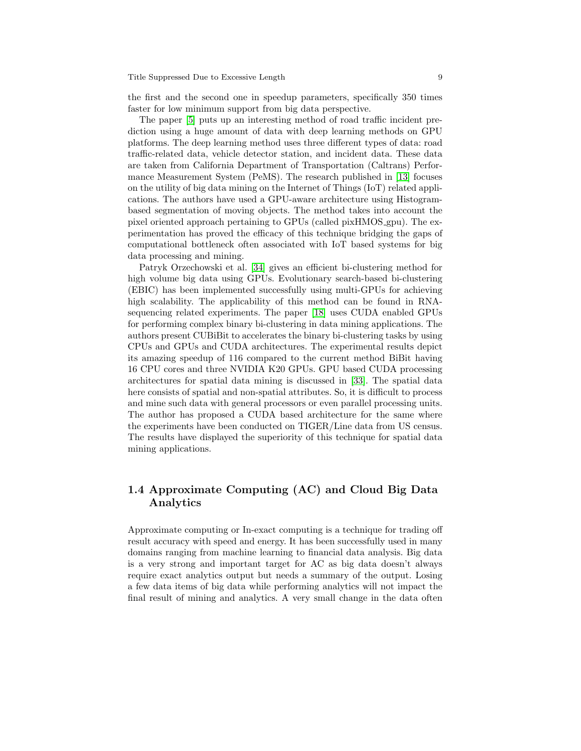the first and the second one in speedup parameters, specifically 350 times faster for low minimum support from big data perspective.

The paper [\[5\]](#page-18-4) puts up an interesting method of road traffic incident prediction using a huge amount of data with deep learning methods on GPU platforms. The deep learning method uses three different types of data: road traffic-related data, vehicle detector station, and incident data. These data are taken from California Department of Transportation (Caltrans) Performance Measurement System (PeMS). The research published in [\[13\]](#page-19-6) focuses on the utility of big data mining on the Internet of Things (IoT) related applications. The authors have used a GPU-aware architecture using Histogrambased segmentation of moving objects. The method takes into account the pixel oriented approach pertaining to GPUs (called pixHMOS gpu). The experimentation has proved the efficacy of this technique bridging the gaps of computational bottleneck often associated with IoT based systems for big data processing and mining.

Patryk Orzechowski et al. [\[34\]](#page-20-5) gives an efficient bi-clustering method for high volume big data using GPUs. Evolutionary search-based bi-clustering (EBIC) has been implemented successfully using multi-GPUs for achieving high scalability. The applicability of this method can be found in RNAsequencing related experiments. The paper [\[18\]](#page-19-7) uses CUDA enabled GPUs for performing complex binary bi-clustering in data mining applications. The authors present CUBiBit to accelerates the binary bi-clustering tasks by using CPUs and GPUs and CUDA architectures. The experimental results depict its amazing speedup of 116 compared to the current method BiBit having 16 CPU cores and three NVIDIA K20 GPUs. GPU based CUDA processing architectures for spatial data mining is discussed in [\[33\]](#page-20-6). The spatial data here consists of spatial and non-spatial attributes. So, it is difficult to process and mine such data with general processors or even parallel processing units. The author has proposed a CUDA based architecture for the same where the experiments have been conducted on TIGER/Line data from US census. The results have displayed the superiority of this technique for spatial data mining applications.

# <span id="page-8-0"></span>1.4 Approximate Computing (AC) and Cloud Big Data Analytics

Approximate computing or In-exact computing is a technique for trading off result accuracy with speed and energy. It has been successfully used in many domains ranging from machine learning to financial data analysis. Big data is a very strong and important target for AC as big data doesn't always require exact analytics output but needs a summary of the output. Losing a few data items of big data while performing analytics will not impact the final result of mining and analytics. A very small change in the data often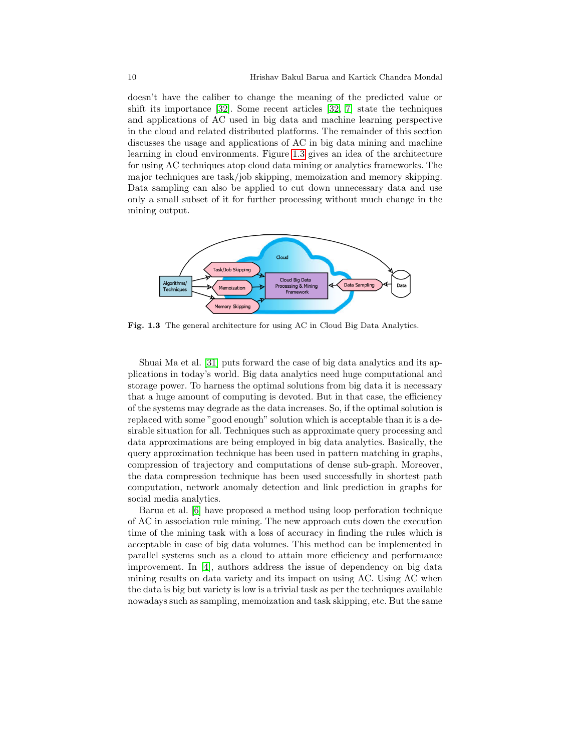doesn't have the caliber to change the meaning of the predicted value or shift its importance [\[32\]](#page-20-0). Some recent articles [\[32,](#page-20-0) [7\]](#page-19-2) state the techniques and applications of AC used in big data and machine learning perspective in the cloud and related distributed platforms. The remainder of this section discusses the usage and applications of AC in big data mining and machine learning in cloud environments. Figure [1.3](#page-9-0) gives an idea of the architecture for using AC techniques atop cloud data mining or analytics frameworks. The major techniques are task/job skipping, memoization and memory skipping. Data sampling can also be applied to cut down unnecessary data and use only a small subset of it for further processing without much change in the mining output.



<span id="page-9-0"></span>Fig. 1.3 The general architecture for using AC in Cloud Big Data Analytics.

Shuai Ma et al. [\[31\]](#page-20-7) puts forward the case of big data analytics and its applications in today's world. Big data analytics need huge computational and storage power. To harness the optimal solutions from big data it is necessary that a huge amount of computing is devoted. But in that case, the efficiency of the systems may degrade as the data increases. So, if the optimal solution is replaced with some "good enough" solution which is acceptable than it is a desirable situation for all. Techniques such as approximate query processing and data approximations are being employed in big data analytics. Basically, the query approximation technique has been used in pattern matching in graphs, compression of trajectory and computations of dense sub-graph. Moreover, the data compression technique has been used successfully in shortest path computation, network anomaly detection and link prediction in graphs for social media analytics.

Barua et al. [\[6\]](#page-19-8) have proposed a method using loop perforation technique of AC in association rule mining. The new approach cuts down the execution time of the mining task with a loss of accuracy in finding the rules which is acceptable in case of big data volumes. This method can be implemented in parallel systems such as a cloud to attain more efficiency and performance improvement. In [\[4\]](#page-18-5), authors address the issue of dependency on big data mining results on data variety and its impact on using AC. Using AC when the data is big but variety is low is a trivial task as per the techniques available nowadays such as sampling, memoization and task skipping, etc. But the same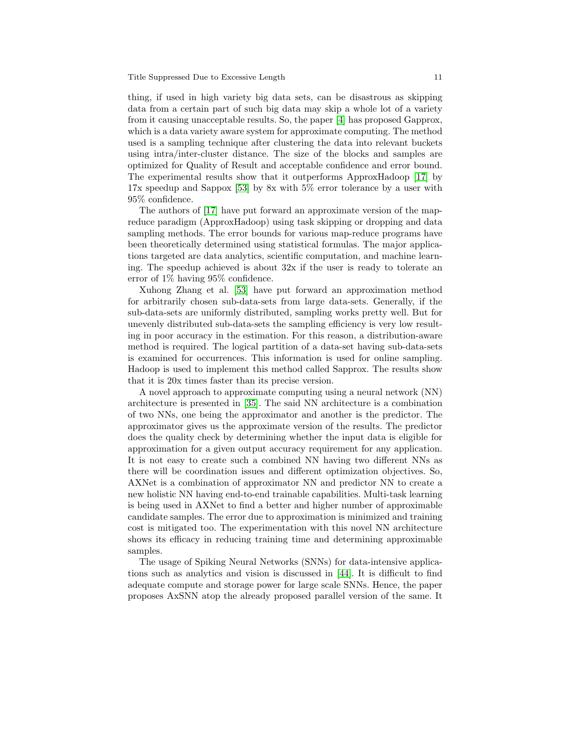thing, if used in high variety big data sets, can be disastrous as skipping data from a certain part of such big data may skip a whole lot of a variety from it causing unacceptable results. So, the paper [\[4\]](#page-18-5) has proposed Gapprox, which is a data variety aware system for approximate computing. The method used is a sampling technique after clustering the data into relevant buckets using intra/inter-cluster distance. The size of the blocks and samples are optimized for Quality of Result and acceptable confidence and error bound. The experimental results show that it outperforms ApproxHadoop [\[17\]](#page-19-9) by 17x speedup and Sappox [\[53\]](#page-21-5) by 8x with 5% error tolerance by a user with 95% confidence.

The authors of [\[17\]](#page-19-9) have put forward an approximate version of the mapreduce paradigm (ApproxHadoop) using task skipping or dropping and data sampling methods. The error bounds for various map-reduce programs have been theoretically determined using statistical formulas. The major applications targeted are data analytics, scientific computation, and machine learning. The speedup achieved is about  $32x$  if the user is ready to tolerate an error of 1% having 95% confidence.

Xuhong Zhang et al. [\[53\]](#page-21-5) have put forward an approximation method for arbitrarily chosen sub-data-sets from large data-sets. Generally, if the sub-data-sets are uniformly distributed, sampling works pretty well. But for unevenly distributed sub-data-sets the sampling efficiency is very low resulting in poor accuracy in the estimation. For this reason, a distribution-aware method is required. The logical partition of a data-set having sub-data-sets is examined for occurrences. This information is used for online sampling. Hadoop is used to implement this method called Sapprox. The results show that it is 20x times faster than its precise version.

A novel approach to approximate computing using a neural network (NN) architecture is presented in [\[35\]](#page-20-8). The said NN architecture is a combination of two NNs, one being the approximator and another is the predictor. The approximator gives us the approximate version of the results. The predictor does the quality check by determining whether the input data is eligible for approximation for a given output accuracy requirement for any application. It is not easy to create such a combined NN having two different NNs as there will be coordination issues and different optimization objectives. So, AXNet is a combination of approximator NN and predictor NN to create a new holistic NN having end-to-end trainable capabilities. Multi-task learning is being used in AXNet to find a better and higher number of approximable candidate samples. The error due to approximation is minimized and training cost is mitigated too. The experimentation with this novel NN architecture shows its efficacy in reducing training time and determining approximable samples.

The usage of Spiking Neural Networks (SNNs) for data-intensive applications such as analytics and vision is discussed in [\[44\]](#page-21-6). It is difficult to find adequate compute and storage power for large scale SNNs. Hence, the paper proposes AxSNN atop the already proposed parallel version of the same. It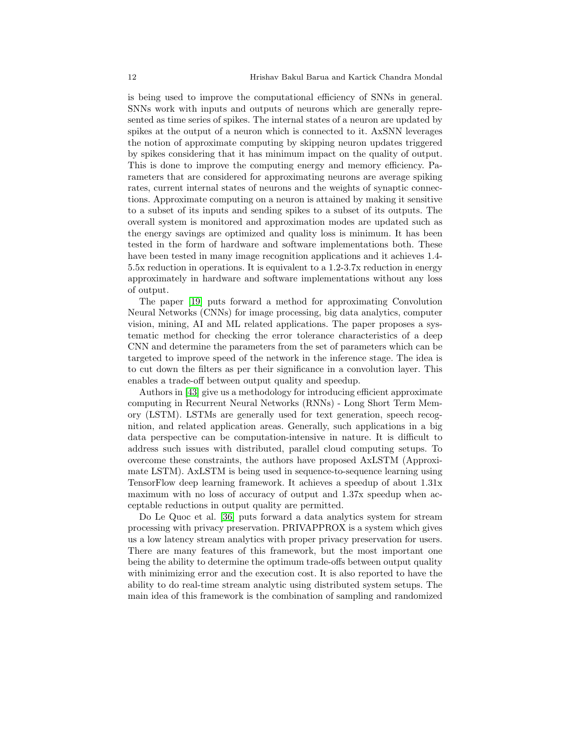is being used to improve the computational efficiency of SNNs in general. SNNs work with inputs and outputs of neurons which are generally represented as time series of spikes. The internal states of a neuron are updated by spikes at the output of a neuron which is connected to it. AxSNN leverages the notion of approximate computing by skipping neuron updates triggered by spikes considering that it has minimum impact on the quality of output. This is done to improve the computing energy and memory efficiency. Parameters that are considered for approximating neurons are average spiking rates, current internal states of neurons and the weights of synaptic connections. Approximate computing on a neuron is attained by making it sensitive to a subset of its inputs and sending spikes to a subset of its outputs. The overall system is monitored and approximation modes are updated such as the energy savings are optimized and quality loss is minimum. It has been tested in the form of hardware and software implementations both. These have been tested in many image recognition applications and it achieves 1.4- 5.5x reduction in operations. It is equivalent to a 1.2-3.7x reduction in energy approximately in hardware and software implementations without any loss of output.

The paper [\[19\]](#page-19-10) puts forward a method for approximating Convolution Neural Networks (CNNs) for image processing, big data analytics, computer vision, mining, AI and ML related applications. The paper proposes a systematic method for checking the error tolerance characteristics of a deep CNN and determine the parameters from the set of parameters which can be targeted to improve speed of the network in the inference stage. The idea is to cut down the filters as per their significance in a convolution layer. This enables a trade-off between output quality and speedup.

Authors in [\[43\]](#page-21-7) give us a methodology for introducing efficient approximate computing in Recurrent Neural Networks (RNNs) - Long Short Term Memory (LSTM). LSTMs are generally used for text generation, speech recognition, and related application areas. Generally, such applications in a big data perspective can be computation-intensive in nature. It is difficult to address such issues with distributed, parallel cloud computing setups. To overcome these constraints, the authors have proposed AxLSTM (Approximate LSTM). AxLSTM is being used in sequence-to-sequence learning using TensorFlow deep learning framework. It achieves a speedup of about 1.31x maximum with no loss of accuracy of output and 1.37x speedup when acceptable reductions in output quality are permitted.

Do Le Quoc et al. [\[36\]](#page-20-9) puts forward a data analytics system for stream processing with privacy preservation. PRIVAPPROX is a system which gives us a low latency stream analytics with proper privacy preservation for users. There are many features of this framework, but the most important one being the ability to determine the optimum trade-offs between output quality with minimizing error and the execution cost. It is also reported to have the ability to do real-time stream analytic using distributed system setups. The main idea of this framework is the combination of sampling and randomized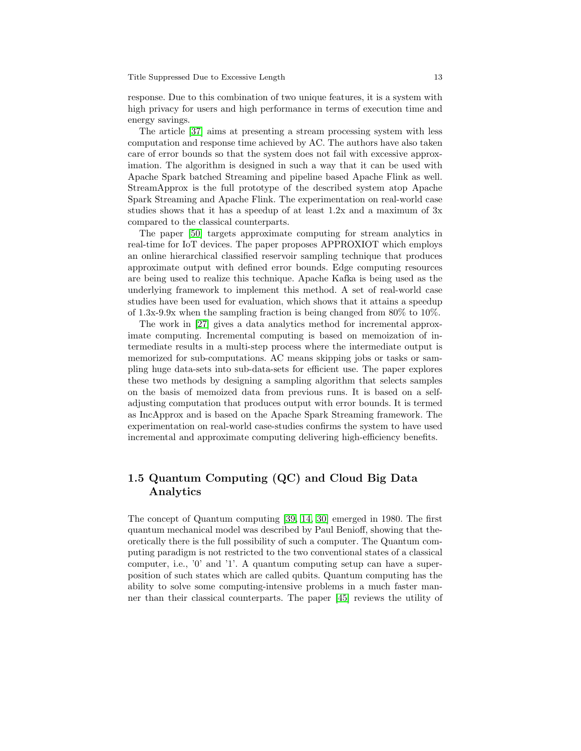response. Due to this combination of two unique features, it is a system with high privacy for users and high performance in terms of execution time and energy savings.

The article [\[37\]](#page-20-10) aims at presenting a stream processing system with less computation and response time achieved by AC. The authors have also taken care of error bounds so that the system does not fail with excessive approximation. The algorithm is designed in such a way that it can be used with Apache Spark batched Streaming and pipeline based Apache Flink as well. StreamApprox is the full prototype of the described system atop Apache Spark Streaming and Apache Flink. The experimentation on real-world case studies shows that it has a speedup of at least 1.2x and a maximum of 3x compared to the classical counterparts.

The paper [\[50\]](#page-21-8) targets approximate computing for stream analytics in real-time for IoT devices. The paper proposes APPROXIOT which employs an online hierarchical classified reservoir sampling technique that produces approximate output with defined error bounds. Edge computing resources are being used to realize this technique. Apache Kafka is being used as the underlying framework to implement this method. A set of real-world case studies have been used for evaluation, which shows that it attains a speedup of 1.3x-9.9x when the sampling fraction is being changed from  $80\%$  to  $10\%$ .

The work in [\[27\]](#page-20-11) gives a data analytics method for incremental approximate computing. Incremental computing is based on memoization of intermediate results in a multi-step process where the intermediate output is memorized for sub-computations. AC means skipping jobs or tasks or sampling huge data-sets into sub-data-sets for efficient use. The paper explores these two methods by designing a sampling algorithm that selects samples on the basis of memoized data from previous runs. It is based on a selfadjusting computation that produces output with error bounds. It is termed as IncApprox and is based on the Apache Spark Streaming framework. The experimentation on real-world case-studies confirms the system to have used incremental and approximate computing delivering high-efficiency benefits.

# <span id="page-12-0"></span>1.5 Quantum Computing (QC) and Cloud Big Data Analytics

The concept of Quantum computing [\[39,](#page-20-12) [14,](#page-19-11) [30\]](#page-20-13) emerged in 1980. The first quantum mechanical model was described by Paul Benioff, showing that theoretically there is the full possibility of such a computer. The Quantum computing paradigm is not restricted to the two conventional states of a classical computer, i.e., '0' and '1'. A quantum computing setup can have a superposition of such states which are called qubits. Quantum computing has the ability to solve some computing-intensive problems in a much faster manner than their classical counterparts. The paper [\[45\]](#page-21-9) reviews the utility of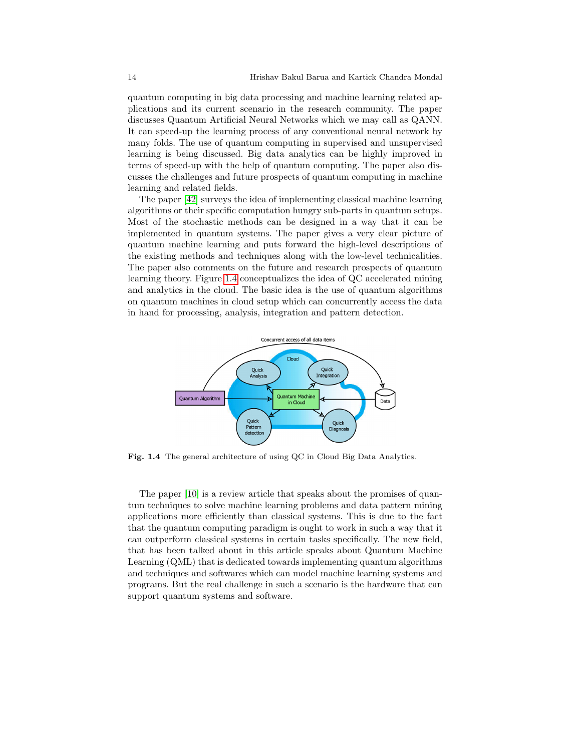quantum computing in big data processing and machine learning related applications and its current scenario in the research community. The paper discusses Quantum Artificial Neural Networks which we may call as QANN. It can speed-up the learning process of any conventional neural network by many folds. The use of quantum computing in supervised and unsupervised learning is being discussed. Big data analytics can be highly improved in terms of speed-up with the help of quantum computing. The paper also discusses the challenges and future prospects of quantum computing in machine learning and related fields.

The paper [\[42\]](#page-21-10) surveys the idea of implementing classical machine learning algorithms or their specific computation hungry sub-parts in quantum setups. Most of the stochastic methods can be designed in a way that it can be implemented in quantum systems. The paper gives a very clear picture of quantum machine learning and puts forward the high-level descriptions of the existing methods and techniques along with the low-level technicalities. The paper also comments on the future and research prospects of quantum learning theory. Figure [1.4](#page-13-0) conceptualizes the idea of QC accelerated mining and analytics in the cloud. The basic idea is the use of quantum algorithms on quantum machines in cloud setup which can concurrently access the data in hand for processing, analysis, integration and pattern detection.



<span id="page-13-0"></span>Fig. 1.4 The general architecture of using QC in Cloud Big Data Analytics.

The paper [\[10\]](#page-19-12) is a review article that speaks about the promises of quantum techniques to solve machine learning problems and data pattern mining applications more efficiently than classical systems. This is due to the fact that the quantum computing paradigm is ought to work in such a way that it can outperform classical systems in certain tasks specifically. The new field, that has been talked about in this article speaks about Quantum Machine Learning (QML) that is dedicated towards implementing quantum algorithms and techniques and softwares which can model machine learning systems and programs. But the real challenge in such a scenario is the hardware that can support quantum systems and software.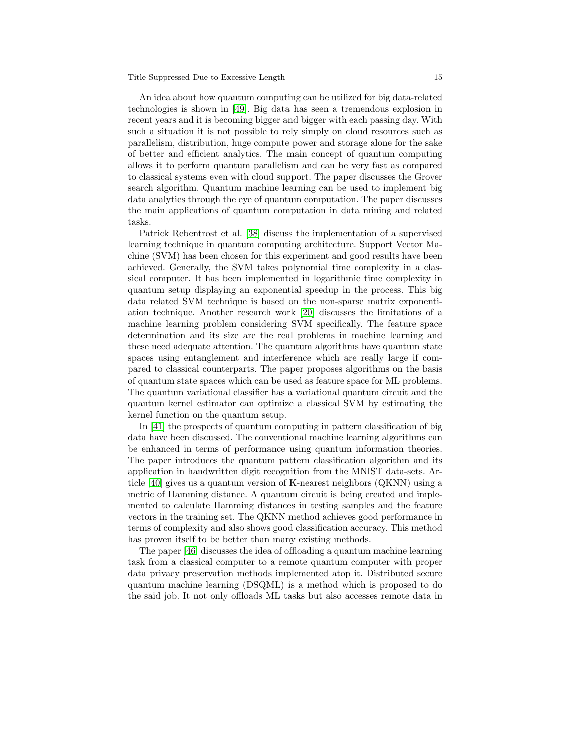#### Title Suppressed Due to Excessive Length 15

An idea about how quantum computing can be utilized for big data-related technologies is shown in [\[49\]](#page-21-11). Big data has seen a tremendous explosion in recent years and it is becoming bigger and bigger with each passing day. With such a situation it is not possible to rely simply on cloud resources such as parallelism, distribution, huge compute power and storage alone for the sake of better and efficient analytics. The main concept of quantum computing allows it to perform quantum parallelism and can be very fast as compared to classical systems even with cloud support. The paper discusses the Grover search algorithm. Quantum machine learning can be used to implement big data analytics through the eye of quantum computation. The paper discusses the main applications of quantum computation in data mining and related tasks.

Patrick Rebentrost et al. [\[38\]](#page-20-14) discuss the implementation of a supervised learning technique in quantum computing architecture. Support Vector Machine (SVM) has been chosen for this experiment and good results have been achieved. Generally, the SVM takes polynomial time complexity in a classical computer. It has been implemented in logarithmic time complexity in quantum setup displaying an exponential speedup in the process. This big data related SVM technique is based on the non-sparse matrix exponentiation technique. Another research work [\[20\]](#page-19-13) discusses the limitations of a machine learning problem considering SVM specifically. The feature space determination and its size are the real problems in machine learning and these need adequate attention. The quantum algorithms have quantum state spaces using entanglement and interference which are really large if compared to classical counterparts. The paper proposes algorithms on the basis of quantum state spaces which can be used as feature space for ML problems. The quantum variational classifier has a variational quantum circuit and the quantum kernel estimator can optimize a classical SVM by estimating the kernel function on the quantum setup.

In [\[41\]](#page-21-12) the prospects of quantum computing in pattern classification of big data have been discussed. The conventional machine learning algorithms can be enhanced in terms of performance using quantum information theories. The paper introduces the quantum pattern classification algorithm and its application in handwritten digit recognition from the MNIST data-sets. Article [\[40\]](#page-21-13) gives us a quantum version of K-nearest neighbors (QKNN) using a metric of Hamming distance. A quantum circuit is being created and implemented to calculate Hamming distances in testing samples and the feature vectors in the training set. The QKNN method achieves good performance in terms of complexity and also shows good classification accuracy. This method has proven itself to be better than many existing methods.

The paper [\[46\]](#page-21-14) discusses the idea of offloading a quantum machine learning task from a classical computer to a remote quantum computer with proper data privacy preservation methods implemented atop it. Distributed secure quantum machine learning (DSQML) is a method which is proposed to do the said job. It not only offloads ML tasks but also accesses remote data in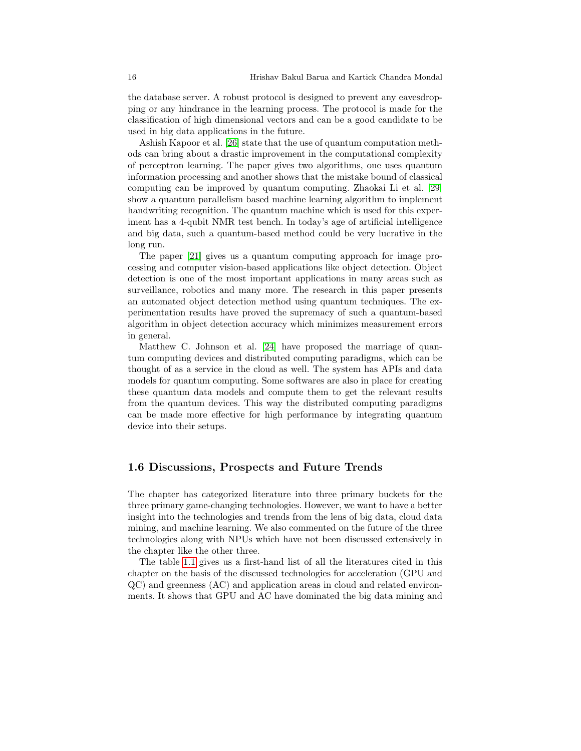the database server. A robust protocol is designed to prevent any eavesdropping or any hindrance in the learning process. The protocol is made for the classification of high dimensional vectors and can be a good candidate to be used in big data applications in the future.

Ashish Kapoor et al. [\[26\]](#page-20-15) state that the use of quantum computation methods can bring about a drastic improvement in the computational complexity of perceptron learning. The paper gives two algorithms, one uses quantum information processing and another shows that the mistake bound of classical computing can be improved by quantum computing. Zhaokai Li et al. [\[29\]](#page-20-16) show a quantum parallelism based machine learning algorithm to implement handwriting recognition. The quantum machine which is used for this experiment has a 4-qubit NMR test bench. In today's age of artificial intelligence and big data, such a quantum-based method could be very lucrative in the long run.

The paper [\[21\]](#page-19-14) gives us a quantum computing approach for image processing and computer vision-based applications like object detection. Object detection is one of the most important applications in many areas such as surveillance, robotics and many more. The research in this paper presents an automated object detection method using quantum techniques. The experimentation results have proved the supremacy of such a quantum-based algorithm in object detection accuracy which minimizes measurement errors in general.

Matthew C. Johnson et al. [\[24\]](#page-20-17) have proposed the marriage of quantum computing devices and distributed computing paradigms, which can be thought of as a service in the cloud as well. The system has APIs and data models for quantum computing. Some softwares are also in place for creating these quantum data models and compute them to get the relevant results from the quantum devices. This way the distributed computing paradigms can be made more effective for high performance by integrating quantum device into their setups.

#### <span id="page-15-0"></span>1.6 Discussions, Prospects and Future Trends

The chapter has categorized literature into three primary buckets for the three primary game-changing technologies. However, we want to have a better insight into the technologies and trends from the lens of big data, cloud data mining, and machine learning. We also commented on the future of the three technologies along with NPUs which have not been discussed extensively in the chapter like the other three.

The table [1.1](#page-16-0) gives us a first-hand list of all the literatures cited in this chapter on the basis of the discussed technologies for acceleration (GPU and QC) and greenness (AC) and application areas in cloud and related environments. It shows that GPU and AC have dominated the big data mining and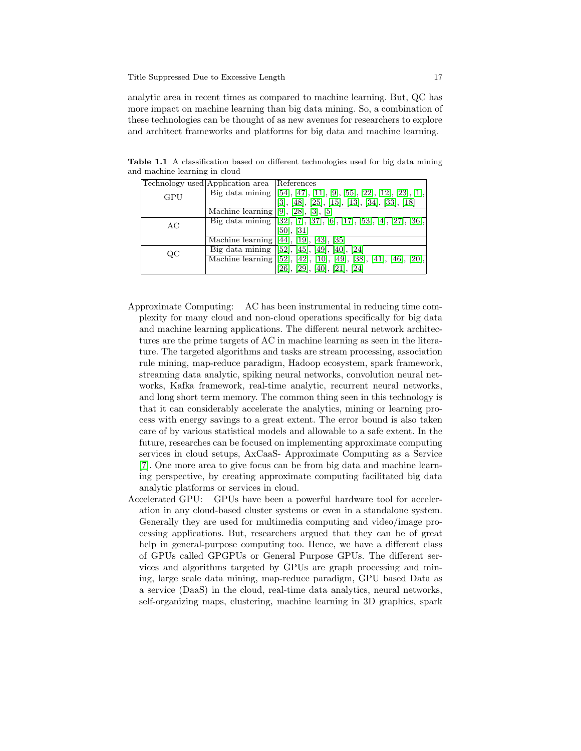analytic area in recent times as compared to machine learning. But, QC has more impact on machine learning than big data mining. So, a combination of these technologies can be thought of as new avenues for researchers to explore and architect frameworks and platforms for big data and machine learning.

<span id="page-16-0"></span>

|     | Technology used Application area | References                                                                      |
|-----|----------------------------------|---------------------------------------------------------------------------------|
| GPU | Big data mining                  | $[54], [47], [11], [9], [55], [22], [12], [23], [1],$                           |
|     |                                  | $[48]$ , $[25]$ , $[15]$ , $[13]$ , $[34]$ , $[33]$ , $[18]$                    |
|     | Machine learning $[9]$ ,         | $\lceil 5 \rceil$<br>[28]                                                       |
| AС  | Big data mining                  | $[32], [7], [37], [6], [17], [53], [4], [27], [36],$                            |
|     |                                  | 50,<br>$\left[31\right]$                                                        |
|     | Machine learning                 | [35]<br> 44                                                                     |
| QC  | Big data mining                  | $\sqrt{52}$ , $[45]$ ,<br> 40 ,  24 <br> 49                                     |
|     | Machine learning                 | $\overline{[52]}, \overline{[42]},$<br>[38], [41], [46], [20]<br>[49],<br> 10 , |
|     |                                  | [21], [24]<br>$[40]$ ,                                                          |

Table 1.1 A classification based on different technologies used for big data mining and machine learning in cloud

- Approximate Computing: AC has been instrumental in reducing time complexity for many cloud and non-cloud operations specifically for big data and machine learning applications. The different neural network architectures are the prime targets of AC in machine learning as seen in the literature. The targeted algorithms and tasks are stream processing, association rule mining, map-reduce paradigm, Hadoop ecosystem, spark framework, streaming data analytic, spiking neural networks, convolution neural networks, Kafka framework, real-time analytic, recurrent neural networks, and long short term memory. The common thing seen in this technology is that it can considerably accelerate the analytics, mining or learning process with energy savings to a great extent. The error bound is also taken care of by various statistical models and allowable to a safe extent. In the future, researches can be focused on implementing approximate computing services in cloud setups, AxCaaS- Approximate Computing as a Service [\[7\]](#page-19-2). One more area to give focus can be from big data and machine learning perspective, by creating approximate computing facilitated big data analytic platforms or services in cloud.
- Accelerated GPU: GPUs have been a powerful hardware tool for acceleration in any cloud-based cluster systems or even in a standalone system. Generally they are used for multimedia computing and video/image processing applications. But, researchers argued that they can be of great help in general-purpose computing too. Hence, we have a different class of GPUs called GPGPUs or General Purpose GPUs. The different services and algorithms targeted by GPUs are graph processing and mining, large scale data mining, map-reduce paradigm, GPU based Data as a service (DaaS) in the cloud, real-time data analytics, neural networks, self-organizing maps, clustering, machine learning in 3D graphics, spark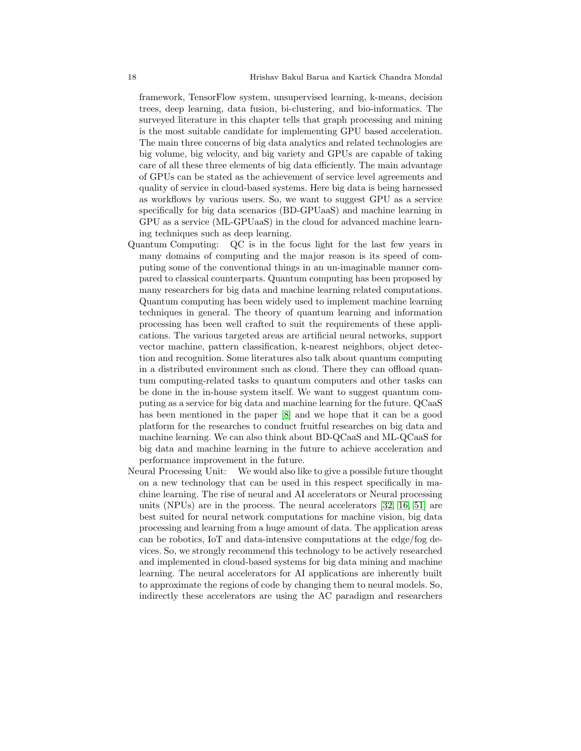framework, TensorFlow system, unsupervised learning, k-means, decision trees, deep learning, data fusion, bi-clustering, and bio-informatics. The surveyed literature in this chapter tells that graph processing and mining is the most suitable candidate for implementing GPU based acceleration. The main three concerns of big data analytics and related technologies are big volume, big velocity, and big variety and GPUs are capable of taking care of all these three elements of big data efficiently. The main advantage of GPUs can be stated as the achievement of service level agreements and quality of service in cloud-based systems. Here big data is being harnessed as workflows by various users. So, we want to suggest GPU as a service specifically for big data scenarios (BD-GPUaaS) and machine learning in GPU as a service (ML-GPUaaS) in the cloud for advanced machine learning techniques such as deep learning.

- Quantum Computing: QC is in the focus light for the last few years in many domains of computing and the major reason is its speed of computing some of the conventional things in an un-imaginable manner compared to classical counterparts. Quantum computing has been proposed by many researchers for big data and machine learning related computations. Quantum computing has been widely used to implement machine learning techniques in general. The theory of quantum learning and information processing has been well crafted to suit the requirements of these applications. The various targeted areas are artificial neural networks, support vector machine, pattern classification, k-nearest neighbors, object detection and recognition. Some literatures also talk about quantum computing in a distributed environment such as cloud. There they can offload quantum computing-related tasks to quantum computers and other tasks can be done in the in-house system itself. We want to suggest quantum computing as a service for big data and machine learning for the future. QCaaS has been mentioned in the paper [\[8\]](#page-19-0) and we hope that it can be a good platform for the researches to conduct fruitful researches on big data and machine learning. We can also think about BD-QCaaS and ML-QCaaS for big data and machine learning in the future to achieve acceleration and performance improvement in the future.
- Neural Processing Unit: We would also like to give a possible future thought on a new technology that can be used in this respect specifically in machine learning. The rise of neural and AI accelerators or Neural processing units (NPUs) are in the process. The neural accelerators [\[32,](#page-20-0) [16,](#page-19-15) [51\]](#page-21-15) are best suited for neural network computations for machine vision, big data processing and learning from a huge amount of data. The application areas can be robotics, IoT and data-intensive computations at the edge/fog devices. So, we strongly recommend this technology to be actively researched and implemented in cloud-based systems for big data mining and machine learning. The neural accelerators for AI applications are inherently built to approximate the regions of code by changing them to neural models. So, indirectly these accelerators are using the AC paradigm and researchers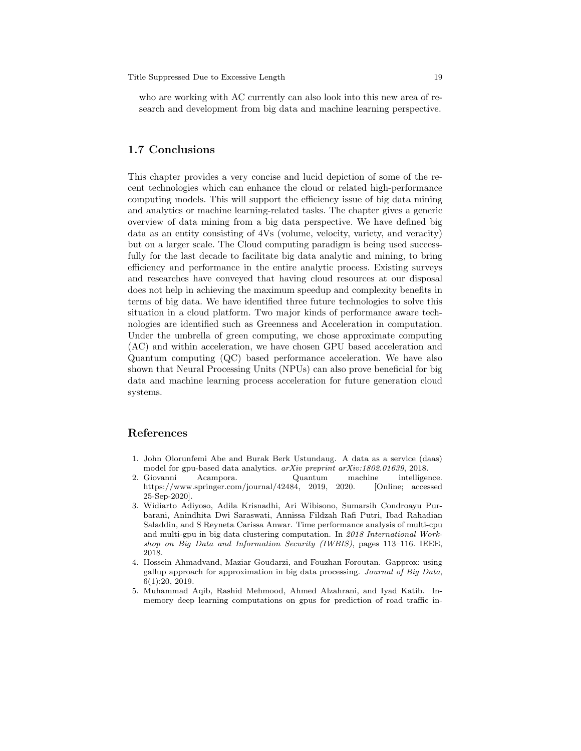who are working with AC currently can also look into this new area of research and development from big data and machine learning perspective.

# <span id="page-18-1"></span>1.7 Conclusions

This chapter provides a very concise and lucid depiction of some of the recent technologies which can enhance the cloud or related high-performance computing models. This will support the efficiency issue of big data mining and analytics or machine learning-related tasks. The chapter gives a generic overview of data mining from a big data perspective. We have defined big data as an entity consisting of 4Vs (volume, velocity, variety, and veracity) but on a larger scale. The Cloud computing paradigm is being used successfully for the last decade to facilitate big data analytic and mining, to bring efficiency and performance in the entire analytic process. Existing surveys and researches have conveyed that having cloud resources at our disposal does not help in achieving the maximum speedup and complexity benefits in terms of big data. We have identified three future technologies to solve this situation in a cloud platform. Two major kinds of performance aware technologies are identified such as Greenness and Acceleration in computation. Under the umbrella of green computing, we chose approximate computing (AC) and within acceleration, we have chosen GPU based acceleration and Quantum computing (QC) based performance acceleration. We have also shown that Neural Processing Units (NPUs) can also prove beneficial for big data and machine learning process acceleration for future generation cloud systems.

# References

- <span id="page-18-2"></span>1. John Olorunfemi Abe and Burak Berk Ustundaug. A data as a service (daas) model for gpu-based data analytics. arXiv preprint arXiv:1802.01639, 2018.
- <span id="page-18-0"></span>2. Giovanni Acampora. Quantum machine intelligence. https://www.springer.com/journal/42484, 2019, 2020. [Online; accessed 25-Sep-2020].
- <span id="page-18-3"></span>3. Widiarto Adiyoso, Adila Krisnadhi, Ari Wibisono, Sumarsih Condroayu Purbarani, Anindhita Dwi Saraswati, Annissa Fildzah Rafi Putri, Ibad Rahadian Saladdin, and S Reyneta Carissa Anwar. Time performance analysis of multi-cpu and multi-gpu in big data clustering computation. In 2018 International Workshop on Big Data and Information Security (IWBIS), pages 113–116. IEEE, 2018.
- <span id="page-18-5"></span>4. Hossein Ahmadvand, Maziar Goudarzi, and Fouzhan Foroutan. Gapprox: using gallup approach for approximation in big data processing. Journal of Big Data, 6(1):20, 2019.
- <span id="page-18-4"></span>5. Muhammad Aqib, Rashid Mehmood, Ahmed Alzahrani, and Iyad Katib. Inmemory deep learning computations on gpus for prediction of road traffic in-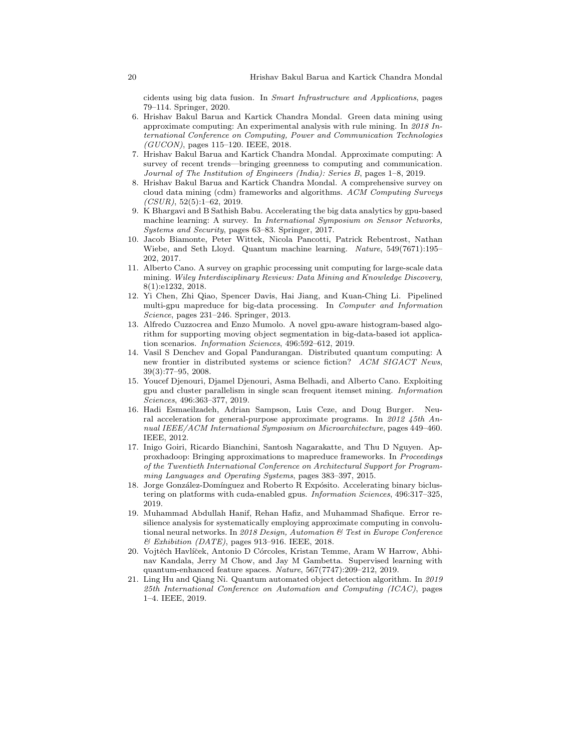cidents using big data fusion. In Smart Infrastructure and Applications, pages 79–114. Springer, 2020.

- <span id="page-19-8"></span>6. Hrishav Bakul Barua and Kartick Chandra Mondal. Green data mining using approximate computing: An experimental analysis with rule mining. In 2018 International Conference on Computing, Power and Communication Technologies  $(GUCON)$ , pages 115–120. IEEE, 2018.
- <span id="page-19-2"></span>7. Hrishav Bakul Barua and Kartick Chandra Mondal. Approximate computing: A survey of recent trends—bringing greenness to computing and communication. Journal of The Institution of Engineers (India): Series B, pages 1–8, 2019.
- <span id="page-19-0"></span>8. Hrishav Bakul Barua and Kartick Chandra Mondal. A comprehensive survey on cloud data mining (cdm) frameworks and algorithms. ACM Computing Surveys  $(CSUR), 52(5):1-62, 2019.$
- <span id="page-19-1"></span>9. K Bhargavi and B Sathish Babu. Accelerating the big data analytics by gpu-based machine learning: A survey. In International Symposium on Sensor Networks, Systems and Security, pages 63–83. Springer, 2017.
- <span id="page-19-12"></span>10. Jacob Biamonte, Peter Wittek, Nicola Pancotti, Patrick Rebentrost, Nathan Wiebe, and Seth Lloyd. Quantum machine learning. Nature, 549(7671):195– 202, 2017.
- <span id="page-19-3"></span>11. Alberto Cano. A survey on graphic processing unit computing for large-scale data mining. Wiley Interdisciplinary Reviews: Data Mining and Knowledge Discovery, 8(1):e1232, 2018.
- <span id="page-19-4"></span>12. Yi Chen, Zhi Qiao, Spencer Davis, Hai Jiang, and Kuan-Ching Li. Pipelined multi-gpu mapreduce for big-data processing. In Computer and Information Science, pages 231–246. Springer, 2013.
- <span id="page-19-6"></span>13. Alfredo Cuzzocrea and Enzo Mumolo. A novel gpu-aware histogram-based algorithm for supporting moving object segmentation in big-data-based iot application scenarios. Information Sciences, 496:592–612, 2019.
- <span id="page-19-11"></span>14. Vasil S Denchev and Gopal Pandurangan. Distributed quantum computing: A new frontier in distributed systems or science fiction? ACM SIGACT News, 39(3):77–95, 2008.
- <span id="page-19-5"></span>15. Youcef Djenouri, Djamel Djenouri, Asma Belhadi, and Alberto Cano. Exploiting gpu and cluster parallelism in single scan frequent itemset mining. Information Sciences, 496:363–377, 2019.
- <span id="page-19-15"></span>16. Hadi Esmaeilzadeh, Adrian Sampson, Luis Ceze, and Doug Burger. Neural acceleration for general-purpose approximate programs. In 2012 45th Annual IEEE/ACM International Symposium on Microarchitecture, pages 449–460. IEEE, 2012.
- <span id="page-19-9"></span>17. Inigo Goiri, Ricardo Bianchini, Santosh Nagarakatte, and Thu D Nguyen. Approxhadoop: Bringing approximations to mapreduce frameworks. In Proceedings of the Twentieth International Conference on Architectural Support for Programming Languages and Operating Systems, pages 383–397, 2015.
- <span id="page-19-7"></span>18. Jorge González-Domínguez and Roberto R Expósito. Accelerating binary biclustering on platforms with cuda-enabled gpus. Information Sciences, 496:317–325, 2019.
- <span id="page-19-10"></span>19. Muhammad Abdullah Hanif, Rehan Hafiz, and Muhammad Shafique. Error resilience analysis for systematically employing approximate computing in convolutional neural networks. In 2018 Design, Automation & Test in Europe Conference  $\ensuremath{\mathcal{B}}$  Exhibition (DATE), pages 913–916. IEEE, 2018.
- <span id="page-19-13"></span>20. Vojtěch Havlíček, Antonio D Córcoles, Kristan Temme, Aram W Harrow, Abhinav Kandala, Jerry M Chow, and Jay M Gambetta. Supervised learning with quantum-enhanced feature spaces. Nature, 567(7747):209–212, 2019.
- <span id="page-19-14"></span>21. Ling Hu and Qiang Ni. Quantum automated object detection algorithm. In 2019 25th International Conference on Automation and Computing (ICAC), pages 1–4. IEEE, 2019.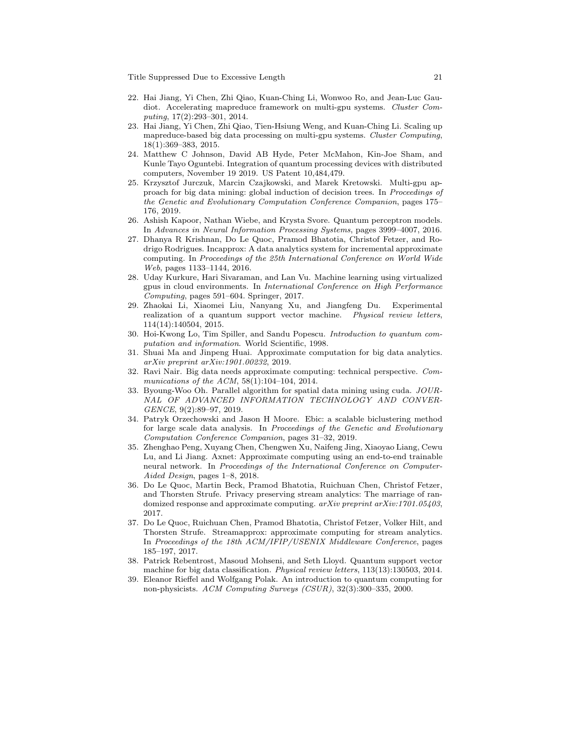- <span id="page-20-1"></span>22. Hai Jiang, Yi Chen, Zhi Qiao, Kuan-Ching Li, Wonwoo Ro, and Jean-Luc Gaudiot. Accelerating mapreduce framework on multi-gpu systems. Cluster Computing, 17(2):293–301, 2014.
- <span id="page-20-2"></span>23. Hai Jiang, Yi Chen, Zhi Qiao, Tien-Hsiung Weng, and Kuan-Ching Li. Scaling up mapreduce-based big data processing on multi-gpu systems. Cluster Computing, 18(1):369–383, 2015.
- <span id="page-20-17"></span>24. Matthew C Johnson, David AB Hyde, Peter McMahon, Kin-Joe Sham, and Kunle Tayo Oguntebi. Integration of quantum processing devices with distributed computers, November 19 2019. US Patent 10,484,479.
- <span id="page-20-4"></span>25. Krzysztof Jurczuk, Marcin Czajkowski, and Marek Kretowski. Multi-gpu approach for big data mining: global induction of decision trees. In Proceedings of the Genetic and Evolutionary Computation Conference Companion, pages 175– 176, 2019.
- <span id="page-20-15"></span>26. Ashish Kapoor, Nathan Wiebe, and Krysta Svore. Quantum perceptron models. In Advances in Neural Information Processing Systems, pages 3999–4007, 2016.
- <span id="page-20-11"></span>27. Dhanya R Krishnan, Do Le Quoc, Pramod Bhatotia, Christof Fetzer, and Rodrigo Rodrigues. Incapprox: A data analytics system for incremental approximate computing. In Proceedings of the 25th International Conference on World Wide Web, pages 1133–1144, 2016.
- <span id="page-20-3"></span>28. Uday Kurkure, Hari Sivaraman, and Lan Vu. Machine learning using virtualized gpus in cloud environments. In International Conference on High Performance Computing, pages 591–604. Springer, 2017.
- <span id="page-20-16"></span>29. Zhaokai Li, Xiaomei Liu, Nanyang Xu, and Jiangfeng Du. Experimental realization of a quantum support vector machine. Physical review letters, 114(14):140504, 2015.
- <span id="page-20-13"></span>30. Hoi-Kwong Lo, Tim Spiller, and Sandu Popescu. Introduction to quantum computation and information. World Scientific, 1998.
- <span id="page-20-7"></span>31. Shuai Ma and Jinpeng Huai. Approximate computation for big data analytics. arXiv preprint arXiv:1901.00232, 2019.
- <span id="page-20-0"></span>32. Ravi Nair. Big data needs approximate computing: technical perspective. Communications of the ACM, 58(1):104–104, 2014.
- <span id="page-20-6"></span>33. Byoung-Woo Oh. Parallel algorithm for spatial data mining using cuda. JOUR-NAL OF ADVANCED INFORMATION TECHNOLOGY AND CONVER-GENCE, 9(2):89–97, 2019.
- <span id="page-20-5"></span>34. Patryk Orzechowski and Jason H Moore. Ebic: a scalable biclustering method for large scale data analysis. In Proceedings of the Genetic and Evolutionary Computation Conference Companion, pages 31–32, 2019.
- <span id="page-20-8"></span>35. Zhenghao Peng, Xuyang Chen, Chengwen Xu, Naifeng Jing, Xiaoyao Liang, Cewu Lu, and Li Jiang. Axnet: Approximate computing using an end-to-end trainable neural network. In Proceedings of the International Conference on Computer-Aided Design, pages 1–8, 2018.
- <span id="page-20-9"></span>36. Do Le Quoc, Martin Beck, Pramod Bhatotia, Ruichuan Chen, Christof Fetzer, and Thorsten Strufe. Privacy preserving stream analytics: The marriage of randomized response and approximate computing.  $arXiv$  preprint  $arXiv:1701.05403$ , 2017.
- <span id="page-20-10"></span>37. Do Le Quoc, Ruichuan Chen, Pramod Bhatotia, Christof Fetzer, Volker Hilt, and Thorsten Strufe. Streamapprox: approximate computing for stream analytics. In Proceedings of the 18th ACM/IFIP/USENIX Middleware Conference, pages 185–197, 2017.
- <span id="page-20-14"></span>38. Patrick Rebentrost, Masoud Mohseni, and Seth Lloyd. Quantum support vector machine for big data classification. Physical review letters, 113(13):130503, 2014.
- <span id="page-20-12"></span>39. Eleanor Rieffel and Wolfgang Polak. An introduction to quantum computing for non-physicists. ACM Computing Surveys (CSUR), 32(3):300–335, 2000.